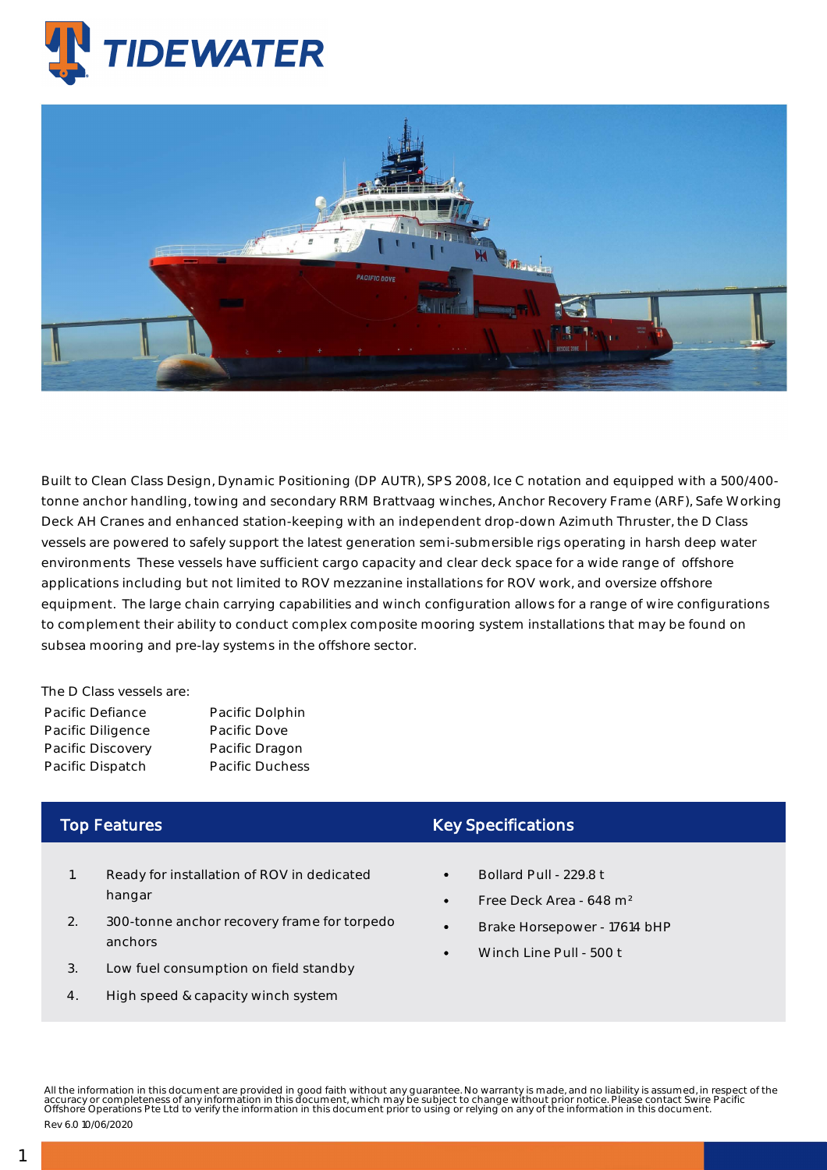

## Anchor Handling Tug Supply Vessels - Pacific Dove

Built to Clean Class Design, Dynamic Positioning (DP AUTR), SPS 2008, Ice C notation and equipped with a 500/400 tonne anchor handling, towing and secondary RRM Brattvaag winches, Anchor Recovery Frame (ARF), Safe Working Deck AH Cranes and enhanced station-keeping with an independent drop-down Azimuth Thruster, the D Class vessels are powered to safely support the latest generation semi-submersible rigs operating in harsh deep water environments These vessels have sufficient cargo capacity and clear deck space for a wide range of offshore applications including but not limited to ROV mezzanine installations for ROV work, and oversize offshore equipment. The large chain carrying capabilities and winch configuration allows for a range of wire configurations to complement their ability to conduct complex composite mooring system installations that may be found on subsea mooring and pre-lay systems in the offshore sector.

The D Class vessels are:

| Pacific Defiance  | Pacific Dolphin        |
|-------------------|------------------------|
| Pacific Diligence | Pacific Dove           |
| Pacific Discovery | Pacific Dragon         |
| Pacific Dispatch  | <b>Pacific Duchess</b> |

## Top Features

- 1. Ready for installation of ROV in dedicated hangar
- 2. 300-tonne anchor recovery frame for torpedo anchors
- 3. Low fuel consumption on field standby
- 4. High speed & capacity winch system

## Key Specifications

- Bollard Pull 229.8 t
- Free Deck Area 648 m²
- Brake Horsepower 17614 bHP
- Winch Line Pull 500 t

All the information in this document are provided in good faith without any guarantee. No warranty is made, and no liability is assumed, in respect of the<br>accuracy or completeness of any information in this document, which Rev 6.0 10/06/2020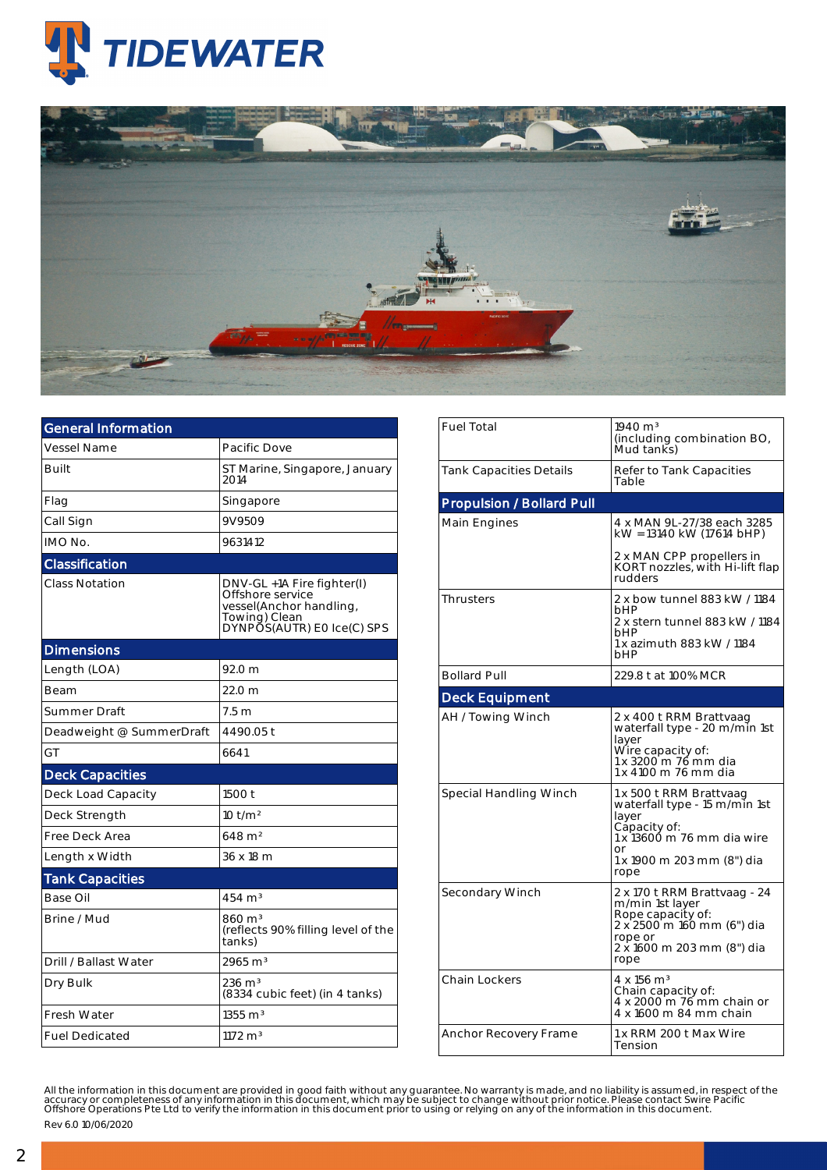



| <b>General Information</b> |                                                                                                                          |  |  |  |  |
|----------------------------|--------------------------------------------------------------------------------------------------------------------------|--|--|--|--|
| <b>Vessel Name</b>         | Pacific Dove                                                                                                             |  |  |  |  |
| Built                      | ST Marine, Singapore, January<br>2014                                                                                    |  |  |  |  |
| Flag                       | Singapore                                                                                                                |  |  |  |  |
| Call Sign                  | 9V9509                                                                                                                   |  |  |  |  |
| IMO No.                    | 9631412                                                                                                                  |  |  |  |  |
| Classification             |                                                                                                                          |  |  |  |  |
| <b>Class Notation</b>      | DNV-GL +1A Fire fighter(I)<br>Offshore service<br>vessel(Anchor handling,<br>Towing) Clean<br>DYNPOS(AUTR) EO Ice(C) SPS |  |  |  |  |
| <b>Dimensions</b>          |                                                                                                                          |  |  |  |  |
| Length (LOA)               | 92.0 <sub>m</sub>                                                                                                        |  |  |  |  |
| Beam                       | 22.0 <sub>m</sub>                                                                                                        |  |  |  |  |
| Summer Draft               | 7.5m                                                                                                                     |  |  |  |  |
| Deadweight @ SummerDraft   | 4490.05 t                                                                                                                |  |  |  |  |
| GT                         | 6641                                                                                                                     |  |  |  |  |
| <b>Deck Capacities</b>     |                                                                                                                          |  |  |  |  |
| Deck Load Capacity         | 1500 t                                                                                                                   |  |  |  |  |
| Deck Strength              | 10 t/m <sup>2</sup>                                                                                                      |  |  |  |  |
| Free Deck Area             | $648 \; \mathrm{m}^2$                                                                                                    |  |  |  |  |
| Length x Width             | 36 x 18 m                                                                                                                |  |  |  |  |
| <b>Tank Capacities</b>     |                                                                                                                          |  |  |  |  |
| Base Oil                   | $454 \; \mathrm{m}^3$                                                                                                    |  |  |  |  |
| Brine / Mud                | 860 m <sup>3</sup><br>(reflects 90% filling level of the<br>tanks)                                                       |  |  |  |  |
| Drill / Ballast Water      | $2965 \text{ m}^3$                                                                                                       |  |  |  |  |
| Dry Bulk                   | $236 \; \mathrm{m}^3$<br>(8334 cubic feet) (in 4 tanks)                                                                  |  |  |  |  |
| Fresh Water                | $1355 \; \mathrm{m}^3$                                                                                                   |  |  |  |  |
| <b>Fuel Dedicated</b>      | $1172 \text{ m}^3$                                                                                                       |  |  |  |  |

| <b>Fuel Total</b>                | $1940 \text{ m}^3$<br>(including combination BO,<br>Mud tanks)                                                                                              |  |  |  |
|----------------------------------|-------------------------------------------------------------------------------------------------------------------------------------------------------------|--|--|--|
| <b>Tank Capacities Details</b>   | Refer to Tank Capacities<br>Table                                                                                                                           |  |  |  |
| <b>Propulsion / Bollard Pull</b> |                                                                                                                                                             |  |  |  |
| Main Engines                     | 4 x MAN 9L-27/38 each 3285<br>kW = 13140 kW (17614 bHP)                                                                                                     |  |  |  |
|                                  | 2 x MAN CPP propellers in<br>KORT nozzles, with Hi-lift flap<br>rudders                                                                                     |  |  |  |
| <b>Thrusters</b>                 | 2 x bow tunnel 883 kW / 1184<br>hHP<br>2 x stern tunnel 883 kW / 1184<br>bHP<br>1 x azimuth 883 kW / 1184<br>bHP                                            |  |  |  |
| <b>Bollard Pull</b>              | 229.8 t at 100% MCR                                                                                                                                         |  |  |  |
| <b>Deck Equipment</b>            |                                                                                                                                                             |  |  |  |
| AH / Towing Winch                | 2 x 400 t RRM Brattvaag<br>waterfall type - 20 m/min 1st<br>layer<br>Wire capacity of:<br>1 x 3200 m 76 mm dia<br>1 x 4100 m 76 mm dia                      |  |  |  |
| Special Handling Winch           | 1 x 500 t RRM Brattvaag<br>waterfall type - 15 m/min 1st<br>layer<br>Capacity of:<br>1 x 13600 m 76 mm dia wire<br>or<br>1 x 1900 m 203 mm (8") dia<br>rope |  |  |  |
| Secondary Winch                  | 2 x 170 t RRM Brattvaag - 24<br>m/min 1st layer<br>Rope capacity of:<br>2 x 2500 m 160 mm (6") dia<br>rope or<br>2 x 1600 m 203 mm (8") dia<br>rope         |  |  |  |
| Chain Lockers                    | $4 \times 156$ m <sup>3</sup><br>Chain capacity of:<br>4 x 2000 m 76 mm chain or<br>4 x 1600 m 84 mm chain                                                  |  |  |  |
| Anchor Recovery Frame            | 1 x RRM 200 t Max Wire<br>Tension                                                                                                                           |  |  |  |

All the information in this document are provided in good faith without any guarantee. No warranty is made, and no liability is assumed, in respect of the<br>accuracy or completeness of any information in this document, which

Rev 6.0 10/06/2020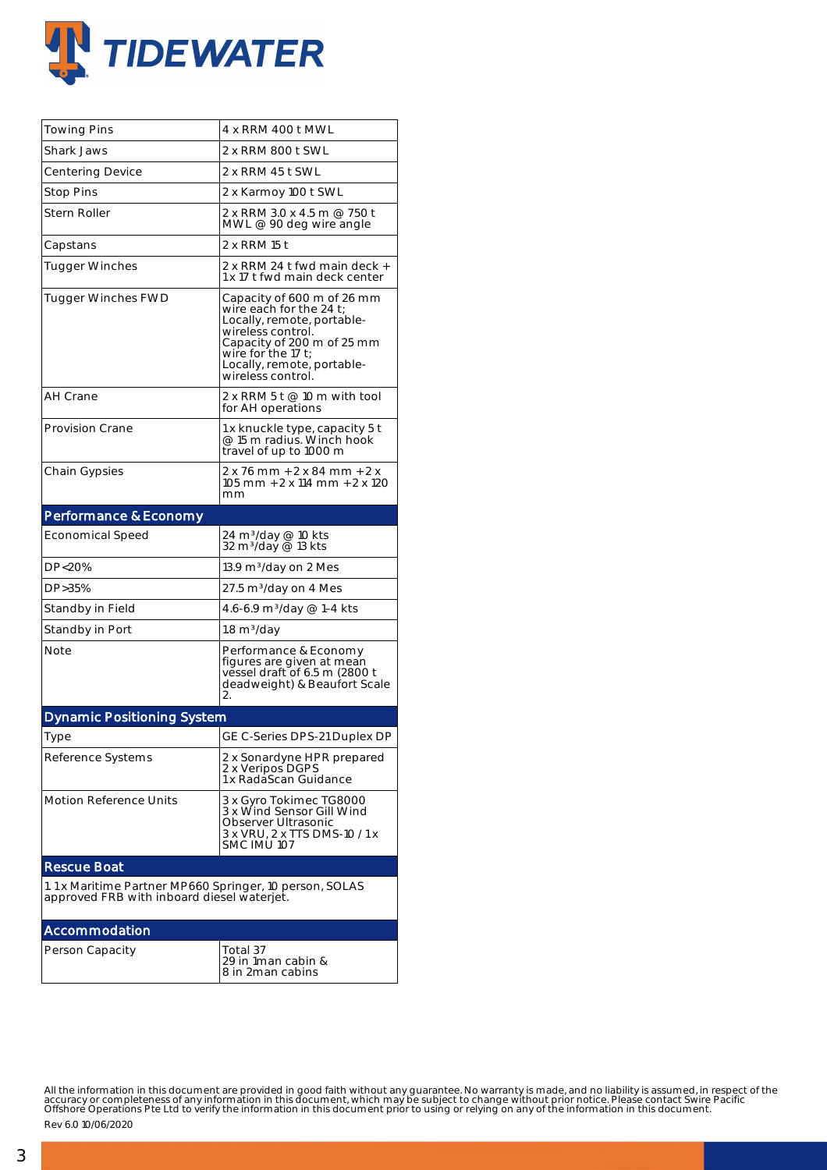

| <b>Towing Pins</b>                                                                                    | 4 x RRM 400 t MWL                                                                                                                                                                                                  |  |  |  |
|-------------------------------------------------------------------------------------------------------|--------------------------------------------------------------------------------------------------------------------------------------------------------------------------------------------------------------------|--|--|--|
| <b>Shark Jaws</b>                                                                                     | 2 x RRM 800 t SWL                                                                                                                                                                                                  |  |  |  |
| <b>Centering Device</b>                                                                               | 2 x RRM 45 t SWL                                                                                                                                                                                                   |  |  |  |
| <b>Stop Pins</b>                                                                                      | 2 x Karmoy 100 t SWL                                                                                                                                                                                               |  |  |  |
| Stern Roller                                                                                          | 2 x RRM 3.0 x 4.5 m @ 750 t<br>MWL @ 90 deg wire angle                                                                                                                                                             |  |  |  |
| Capstans                                                                                              | 2 x RRM 15 t                                                                                                                                                                                                       |  |  |  |
| <b>Tugger Winches</b>                                                                                 | 2 x RRM 24 t fwd main deck +<br>1 x 17 t fwd main deck center                                                                                                                                                      |  |  |  |
| <b>Tugger Winches FWD</b>                                                                             | Capacity of 600 m of 26 mm<br>wire each for the 24 $t$ ;<br>Locally, remote, portable-<br>wireless control.<br>Capacity of 200 m of 25 mm<br>wire for the 17 t;<br>Locally, remote, portable-<br>wireless control. |  |  |  |
| AH Crane                                                                                              | 2 x RRM 5 t $@$ 10 m with tool<br>for AH operations                                                                                                                                                                |  |  |  |
| <b>Provision Crane</b>                                                                                | 1 x knuckle type, capacity 5 t<br>@ 15 m radius. Winch hook<br>travel of up to 1000 m                                                                                                                              |  |  |  |
| <b>Chain Gypsies</b>                                                                                  | 2 x 76 mm + 2 x 84 mm + 2 x<br>105 mm + 2 x 114 mm + 2 x 120<br>mm                                                                                                                                                 |  |  |  |
| <b>Performance &amp; Economy</b>                                                                      |                                                                                                                                                                                                                    |  |  |  |
| <b>Economical Speed</b>                                                                               | 24 m <sup>3</sup> /day @ 10 kts<br>32 m <sup>3</sup> /day @ 13 kts                                                                                                                                                 |  |  |  |
| DP<20%                                                                                                | 13.9 m <sup>3</sup> /day on 2 Mes                                                                                                                                                                                  |  |  |  |
| DP>35%                                                                                                | 27.5 m <sup>3</sup> /day on 4 Mes                                                                                                                                                                                  |  |  |  |
| Standby in Field                                                                                      | 4.6-6.9 m <sup>3</sup> /day @ 1-4 kts                                                                                                                                                                              |  |  |  |
| Standby in Port                                                                                       | 1.8 m <sup>3</sup> /day                                                                                                                                                                                            |  |  |  |
| Note                                                                                                  | Performance & Economy<br>figures are given at mean<br>vessel draft of 6.5 m (2800 t<br>deadweight) & Beaufort Scale<br>2.                                                                                          |  |  |  |
| <b>Dynamic Positioning System</b>                                                                     |                                                                                                                                                                                                                    |  |  |  |
| Type                                                                                                  | GE C-Series DPS-21 Duplex DP                                                                                                                                                                                       |  |  |  |
| Reference Systems                                                                                     | 2 x Sonardyne HPR prepared<br>2 x Veripos DGPS<br>1 x RadaScan Guidance                                                                                                                                            |  |  |  |
| <b>Motion Reference Units</b>                                                                         | 3 x Gyro Tokimec TG8000<br>3 x Wind Sensor Gill Wind<br>Observer Ultrasonic<br>3 x VRU, 2 x TTS DMS-10 / 1 x<br>SMC IMU 107                                                                                        |  |  |  |
| <b>Rescue Boat</b>                                                                                    |                                                                                                                                                                                                                    |  |  |  |
| 1.1 x Maritime Partner MP660 Springer, 10 person, SOLAS<br>approved FRB with inboard diesel waterjet. |                                                                                                                                                                                                                    |  |  |  |
| Accommodation                                                                                         |                                                                                                                                                                                                                    |  |  |  |
| Person Capacity                                                                                       | Total 37<br>29 in 1man cabin &<br>8 in 2man cabins                                                                                                                                                                 |  |  |  |

All the information in this document are provided in good faith without any guarantee. No warranty is made, and no liability is assumed, in respect of the<br>accuracy or completeness of any information in this document, which

Rev 6.0 10/06/2020